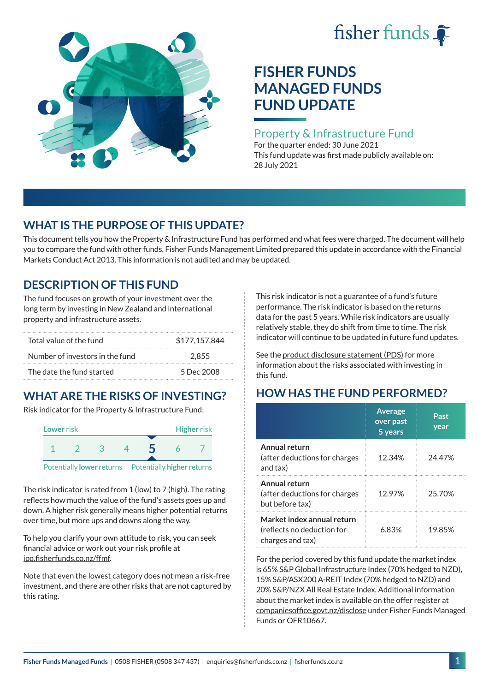# fisher funds  $\hat{\bullet}$



# **FISHER FUNDS MANAGED FUNDS FUND UPDATE**

### Property & Infrastructure Fund

For the quarter ended: 30 June 2021 This fund update was first made publicly available on: 28 July 2021

## **WHAT IS THE PURPOSE OF THIS UPDATE?**

This document tells you how the Property & Infrastructure Fund has performed and what fees were charged. The document will help you to compare the fund with other funds. Fisher Funds Management Limited prepared this update in accordance with the Financial Markets Conduct Act 2013. This information is not audited and may be updated.

## **DESCRIPTION OF THIS FUND**

The fund focuses on growth of your investment over the long term by investing in New Zealand and international property and infrastructure assets.

| Total value of the fund         | \$177.157.844 |
|---------------------------------|---------------|
| Number of investors in the fund | 2.855         |
| The date the fund started       | 5 Dec 2008    |

# **WHAT ARE THE RISKS OF INVESTING?**

Risk indicator for the Property & Infrastructure Fund:



The risk indicator is rated from 1 (low) to 7 (high). The rating reflects how much the value of the fund's assets goes up and down. A higher risk generally means higher potential returns over time, but more ups and downs along the way.

To help you clarify your own attitude to risk, you can seek financial advice or work out your risk profile at [ipq.fisherfunds.co.nz/ffmf](https://ipq.fisherfunds.co.nz/ffmf).

Note that even the lowest category does not mean a risk-free investment, and there are other risks that are not captured by this rating.

This risk indicator is not a guarantee of a fund's future performance. The risk indicator is based on the returns data for the past 5 years. While risk indicators are usually relatively stable, they do shift from time to time. The risk indicator will continue to be updated in future fund updates.

See the [product disclosure statement \(PDS\)](https://fisherfunds.co.nz/assets/PDS/Fisher-Funds-Managed-Funds-PDS.pdf) for more information about the risks associated with investing in this fund.

# **HOW HAS THE FUND PERFORMED?**

|                                                                              | <b>Average</b><br>over past<br>5 years | Past<br>year |
|------------------------------------------------------------------------------|----------------------------------------|--------------|
| Annual return<br>(after deductions for charges<br>and tax)                   | 12.34%                                 | 24.47%       |
| Annual return<br>(after deductions for charges<br>but before tax)            | 12.97%                                 | 25.70%       |
| Market index annual return<br>(reflects no deduction for<br>charges and tax) | 6.83%                                  | 19.85%       |

For the period covered by this fund update the market index is 65% S&P Global Infrastructure Index (70% hedged to NZD), 15% S&P/ASX200 A-REIT Index (70% hedged to NZD) and 20% S&P/NZX All Real Estate Index. Additional information about the market index is available on the offer register at [companiesoffice.govt.nz/disclose](http://companiesoffice.govt.nz/disclose) under Fisher Funds Managed Funds or OFR10667.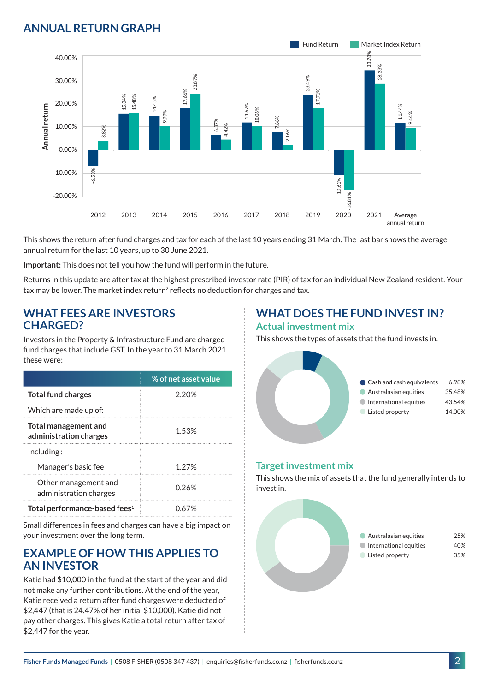## **ANNUAL RETURN GRAPH**



This shows the return after fund charges and tax for each of the last 10 years ending 31 March. The last bar shows the average annual return for the last 10 years, up to 30 June 2021.

**Important:** This does not tell you how the fund will perform in the future.

Returns in this update are after tax at the highest prescribed investor rate (PIR) of tax for an individual New Zealand resident. Your tax may be lower. The market index return<sup>2</sup> reflects no deduction for charges and tax.

#### **WHAT FEES ARE INVESTORS CHARGED?**

Investors in the Property & Infrastructure Fund are charged fund charges that include GST. In the year to 31 March 2021 these were:

|                                                | % of net asset value |
|------------------------------------------------|----------------------|
| <b>Total fund charges</b>                      | 2.20%                |
| Which are made up of:                          |                      |
| Total management and<br>administration charges | 1.53%                |
| Inding:                                        |                      |
| Manager's basic fee                            | 1 27%                |
| Other management and<br>administration charges | 0.26%                |
| Total performance-based fees <sup>1</sup>      | በ 67%                |

Small differences in fees and charges can have a big impact on your investment over the long term.

#### **EXAMPLE OF HOW THIS APPLIES TO AN INVESTOR**

Katie had \$10,000 in the fund at the start of the year and did not make any further contributions. At the end of the year, Katie received a return after fund charges were deducted of \$2,447 (that is 24.47% of her initial \$10,000). Katie did not pay other charges. This gives Katie a total return after tax of \$2,447 for the year.

# **WHAT DOES THE FUND INVEST IN?**

#### **Actual investment mix**

This shows the types of assets that the fund invests in.



#### **Target investment mix**

This shows the mix of assets that the fund generally intends to invest in.